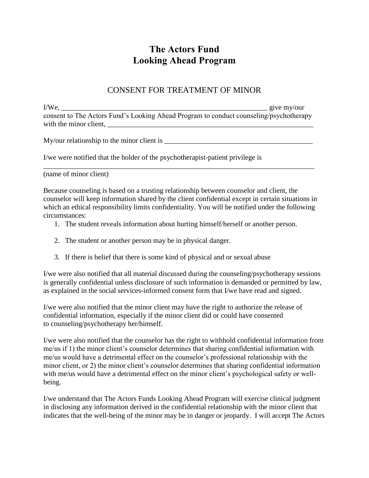## **The Actors Fund Looking Ahead Program**

## CONSENT FOR TREATMENT OF MINOR

I/We, give my/our consent to The Actors Fund's Looking Ahead Program to conduct counseling/psychotherapy with the minor client, \_\_\_\_\_\_\_\_\_\_\_\_\_\_\_\_\_\_\_\_\_\_\_\_\_\_\_\_\_\_\_\_\_\_\_\_\_\_\_\_\_\_\_\_\_\_\_\_\_\_\_\_\_\_\_\_\_

My/our relationship to the minor client is \_\_\_\_\_\_\_\_\_\_\_\_\_\_\_\_\_\_\_\_\_\_\_\_\_\_\_\_\_\_\_\_\_\_\_\_\_\_\_\_\_

I/we were notified that the holder of the psychotherapist-patient privilege is

(name of minor client)

Because counseling is based on a trusting relationship between counselor and client, the counselor will keep information shared by the client confidential except in certain situations in which an ethical responsibility limits confidentiality. You will be notified under the following circumstances:

\_\_\_\_\_\_\_\_\_\_\_\_\_\_\_\_\_\_\_\_\_\_\_\_\_\_\_\_\_\_\_\_\_\_\_\_\_\_\_\_\_\_\_\_\_\_\_\_\_\_\_\_\_\_\_\_\_\_\_\_\_\_\_\_\_\_\_\_\_\_\_\_\_\_\_

- 1. The student reveals information about hurting himself/herself or another person.
- 2. The student or another person may be in physical danger.
- 3. If there is belief that there is some kind of physical and or sexual abuse

I/we were also notified that all material discussed during the counseling/psychotherapy sessions is generally confidential unless disclosure of such information is demanded or permitted by law, as explained in the social services-informed consent form that I/we have read and signed.

I/we were also notified that the minor client may have the right to authorize the release of confidential information, especially if the minor client did or could have consented to counseling/psychotherapy her/himself.

I/we were also notified that the counselor has the right to withhold confidential information from me/us if 1) the minor client's counselor determines that sharing confidential information with me/us would have a detrimental effect on the counselor's professional relationship with the minor client, or 2) the minor client's counselor determines that sharing confidential information with me/us would have a detrimental effect on the minor client's psychological safety or wellbeing.

I/we understand that The Actors Funds Looking Ahead Program will exercise clinical judgment in disclosing any information derived in the confidential relationship with the minor client that indicates that the well-being of the minor may be in danger or jeopardy. I will accept The Actors